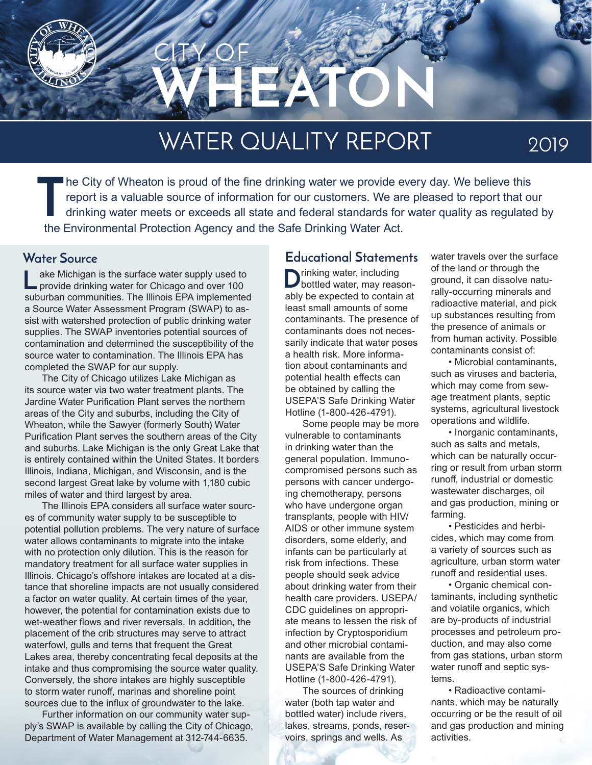

# WATER QUALITY REPORT

2019

**T** he City of Wheaton is proud of the fine drinking water we provide every day. We believe this report is a valuable source of information for our customers. We are pleased to report that our drinking water meets or exceeds all state and federal standards for water quality as regulated by the Environmental Protection Agency and the Safe Drinking Water Act.

ake Michigan is the surface water supply used to provide drinking water for Chicago and over 100 suburban communities. The Illinois EPA implemented a Source Water Assessment Program (SWAP) to assist with watershed protection of public drinking water supplies. The SWAP inventories potential sources of contamination and determined the susceptibility of the source water to contamination. The Illinois EPA has completed the SWAP for our supply. **L**

The City of Chicago utilizes Lake Michigan as its source water via two water treatment plants. The Jardine Water Purification Plant serves the northern areas of the City and suburbs, including the City of Wheaton, while the Sawyer (formerly South) Water Purification Plant serves the southern areas of the City and suburbs. Lake Michigan is the only Great Lake that is entirely contained within the United States. It borders Illinois, Indiana, Michigan, and Wisconsin, and is the second largest Great lake by volume with 1,180 cubic miles of water and third largest by area.

The Illinois EPA considers all surface water sources of community water supply to be susceptible to potential pollution problems. The very nature of surface water allows contaminants to migrate into the intake with no protection only dilution. This is the reason for mandatory treatment for all surface water supplies in Illinois. Chicago's offshore intakes are located at a distance that shoreline impacts are not usually considered a factor on water quality. At certain times of the year, however, the potential for contamination exists due to wet-weather flows and river reversals. In addition, the placement of the crib structures may serve to attract waterfowl, gulls and terns that frequent the Great Lakes area, thereby concentrating fecal deposits at the intake and thus compromising the source water quality. Conversely, the shore intakes are highly susceptible to storm water runoff, marinas and shoreline point sources due to the influx of groundwater to the lake.

Further information on our community water supply's SWAP is available by calling the City of Chicago, Department of Water Management at 312-744-6635.

#### **Water Source Educational Statements**

 $\sum$ rinking water, including<br>bottled water, may reasonably be expected to contain at least small amounts of some contaminants. The presence of contaminants does not necessarily indicate that water poses a health risk. More information about contaminants and potential health effects can be obtained by calling the USEPA'S Safe Drinking Water Hotline (1-800-426-4791).

Some people may be more vulnerable to contaminants in drinking water than the general population. Immunocompromised persons such as persons with cancer undergoing chemotherapy, persons who have undergone organ transplants, people with HIV/ AIDS or other immune system disorders, some elderly, and infants can be particularly at risk from infections. These people should seek advice about drinking water from their health care providers. USEPA/ CDC guidelines on appropriate means to lessen the risk of infection by Cryptosporidium and other microbial contaminants are available from the USEPA'S Safe Drinking Water Hotline (1-800-426-4791).

The sources of drinking water (both tap water and bottled water) include rivers, lakes, streams, ponds, reservoirs, springs and wells. As

water travels over the surface of the land or through the ground, it can dissolve naturally-occurring minerals and radioactive material, and pick up substances resulting from the presence of animals or from human activity. Possible contaminants consist of:

• Microbial contaminants, such as viruses and bacteria, which may come from sewage treatment plants, septic systems, agricultural livestock operations and wildlife.

• Inorganic contaminants, such as salts and metals, which can be naturally occurring or result from urban storm runoff, industrial or domestic wastewater discharges, oil and gas production, mining or farming.

• Pesticides and herbicides, which may come from a variety of sources such as agriculture, urban storm water runoff and residential uses.

• Organic chemical contaminants, including synthetic and volatile organics, which are by-products of industrial processes and petroleum production, and may also come from gas stations, urban storm water runoff and septic systems.

• Radioactive contaminants, which may be naturally occurring or be the result of oil and gas production and mining activities.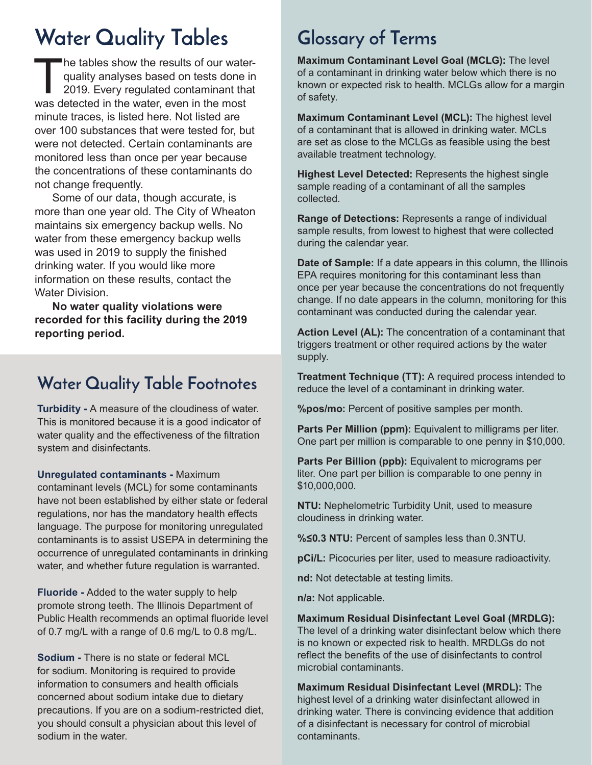# **Water Quality Tables Glossary of Terms**

The tables show the results of our waterquality analyses based on tests done in 2019. Every regulated contaminant that was detected in the water, even in the most minute traces, is listed here. Not listed are over 100 substances that were tested for, but were not detected. Certain contaminants are monitored less than once per year because the concentrations of these contaminants do not change frequently.

Some of our data, though accurate, is more than one year old. The City of Wheaton maintains six emergency backup wells. No water from these emergency backup wells was used in 2019 to supply the finished drinking water. If you would like more information on these results, contact the Water Division.

**No water quality violations were recorded for this facility during the 2019 reporting period.**

#### **Water Quality Table Footnotes**

**Turbidity -** A measure of the cloudiness of water. This is monitored because it is a good indicator of water quality and the effectiveness of the filtration system and disinfectants.

**Unregulated contaminants -** Maximum

contaminant levels (MCL) for some contaminants have not been established by either state or federal regulations, nor has the mandatory health effects language. The purpose for monitoring unregulated contaminants is to assist USEPA in determining the occurrence of unregulated contaminants in drinking water, and whether future regulation is warranted.

**Fluoride -** Added to the water supply to help promote strong teeth. The Illinois Department of Public Health recommends an optimal fluoride level of 0.7 mg/L with a range of 0.6 mg/L to 0.8 mg/L.

**Sodium -** There is no state or federal MCL for sodium. Monitoring is required to provide information to consumers and health officials concerned about sodium intake due to dietary precautions. If you are on a sodium-restricted diet, you should consult a physician about this level of sodium in the water.

**Maximum Contaminant Level Goal (MCLG):** The level of a contaminant in drinking water below which there is no known or expected risk to health. MCLGs allow for a margin of safety.

**Maximum Contaminant Level (MCL):** The highest level of a contaminant that is allowed in drinking water. MCLs are set as close to the MCLGs as feasible using the best available treatment technology.

**Highest Level Detected:** Represents the highest single sample reading of a contaminant of all the samples collected.

**Range of Detections:** Represents a range of individual sample results, from lowest to highest that were collected during the calendar year.

**Date of Sample:** If a date appears in this column, the Illinois EPA requires monitoring for this contaminant less than once per year because the concentrations do not frequently change. If no date appears in the column, monitoring for this contaminant was conducted during the calendar year.

**Action Level (AL):** The concentration of a contaminant that triggers treatment or other required actions by the water supply.

**Treatment Technique (TT):** A required process intended to reduce the level of a contaminant in drinking water.

**%pos/mo:** Percent of positive samples per month.

**Parts Per Million (ppm):** Equivalent to milligrams per liter. One part per million is comparable to one penny in \$10,000.

**Parts Per Billion (ppb):** Equivalent to micrograms per liter. One part per billion is comparable to one penny in \$10,000,000.

**NTU:** Nephelometric Turbidity Unit, used to measure cloudiness in drinking water.

**%≤0.3 NTU:** Percent of samples less than 0.3NTU.

**pCi/L:** Picocuries per liter, used to measure radioactivity.

**nd:** Not detectable at testing limits.

**n/a:** Not applicable.

**Maximum Residual Disinfectant Level Goal (MRDLG):** The level of a drinking water disinfectant below which there is no known or expected risk to health. MRDLGs do not reflect the benefits of the use of disinfectants to control microbial contaminants.

**Maximum Residual Disinfectant Level (MRDL):** The highest level of a drinking water disinfectant allowed in drinking water. There is convincing evidence that addition of a disinfectant is necessary for control of microbial contaminants.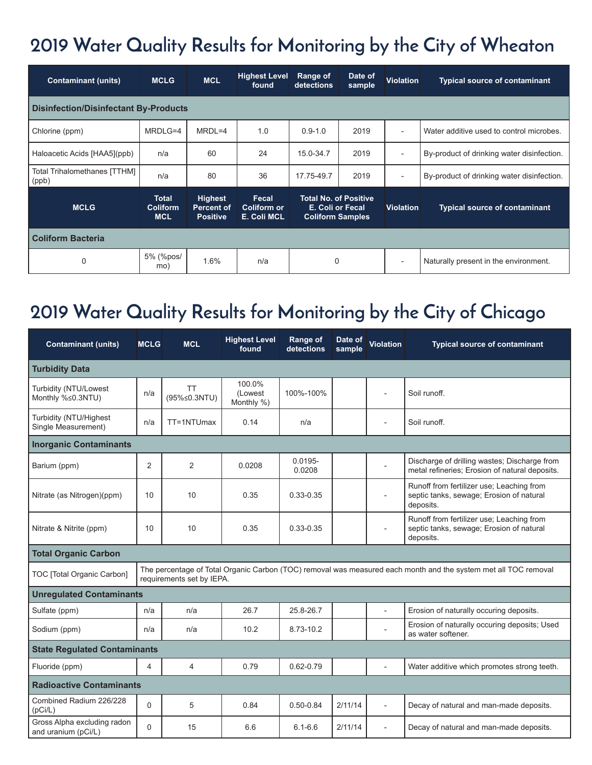## **2019 Water Quality Results for Monitoring by the City of Wheaton**

| <b>Contaminant (units)</b>            | <b>MCLG</b>                                   | <b>MCL</b>                                             | <b>Highest Level</b><br>found       | Range of<br>detections                                                      | Date of<br>sample | <b>Violation</b>         | <b>Typical source of contaminant</b>       |  |  |  |  |  |  |
|---------------------------------------|-----------------------------------------------|--------------------------------------------------------|-------------------------------------|-----------------------------------------------------------------------------|-------------------|--------------------------|--------------------------------------------|--|--|--|--|--|--|
| Disinfection/Disinfectant By-Products |                                               |                                                        |                                     |                                                                             |                   |                          |                                            |  |  |  |  |  |  |
| Chlorine (ppm)                        | MRDLG=4                                       | $MRDL=4$                                               | 1.0                                 | $0.9 - 1.0$                                                                 | 2019              | $\overline{\phantom{a}}$ | Water additive used to control microbes.   |  |  |  |  |  |  |
| Haloacetic Acids [HAA5](ppb)          | n/a                                           | 60                                                     | 24                                  | 15.0-34.7                                                                   | 2019              | $\overline{\phantom{a}}$ | By-product of drinking water disinfection. |  |  |  |  |  |  |
| Total Trihalomethanes [TTHM]<br>(ppb) | n/a                                           | 80                                                     | 36                                  | 17.75-49.7                                                                  | 2019              | $\overline{\phantom{a}}$ | By-product of drinking water disinfection. |  |  |  |  |  |  |
| <b>MCLG</b>                           | <b>Total</b><br><b>Coliform</b><br><b>MCL</b> | <b>Highest</b><br><b>Percent of</b><br><b>Positive</b> | Fecal<br>Coliform or<br>E. Coli MCL | <b>Total No. of Positive</b><br>E. Coli or Fecal<br><b>Coliform Samples</b> |                   | <b>Violation</b>         | <b>Typical source of contaminant</b>       |  |  |  |  |  |  |
| <b>Coliform Bacteria</b>              |                                               |                                                        |                                     |                                                                             |                   |                          |                                            |  |  |  |  |  |  |
| $\mathbf 0$                           | 5% (%pos/<br>mo)                              | 1.6%                                                   | n/a                                 | 0                                                                           |                   | $\overline{\phantom{a}}$ | Naturally present in the environment.      |  |  |  |  |  |  |

### **2019 Water Quality Results for Monitoring by the City of Chicago**

| <b>Contaminant (units)</b>                                                                                                                                                 | <b>MCLG</b> | <b>MCL</b>                | <b>Highest Level</b><br>found    | Range of<br>detections | Date of<br>sample | Violation                | <b>Typical source of contaminant</b>                                                               |  |  |  |  |
|----------------------------------------------------------------------------------------------------------------------------------------------------------------------------|-------------|---------------------------|----------------------------------|------------------------|-------------------|--------------------------|----------------------------------------------------------------------------------------------------|--|--|--|--|
| <b>Turbidity Data</b>                                                                                                                                                      |             |                           |                                  |                        |                   |                          |                                                                                                    |  |  |  |  |
| Turbidity (NTU/Lowest<br>Monthly %≤0.3NTU)                                                                                                                                 | n/a         | <b>TT</b><br>(95%≤0.3NTU) | 100.0%<br>(Lowest)<br>Monthly %) | 100%-100%              |                   |                          | Soil runoff.                                                                                       |  |  |  |  |
| Turbidity (NTU/Highest<br>Single Measurement)                                                                                                                              | n/a         | TT=1NTUmax                | 0.14                             | n/a                    |                   |                          | Soil runoff.                                                                                       |  |  |  |  |
| <b>Inorganic Contaminants</b>                                                                                                                                              |             |                           |                                  |                        |                   |                          |                                                                                                    |  |  |  |  |
| Barium (ppm)                                                                                                                                                               | 2           | $\overline{2}$            | 0.0208                           | $0.0195 -$<br>0.0208   |                   |                          | Discharge of drilling wastes; Discharge from<br>metal refineries; Erosion of natural deposits.     |  |  |  |  |
| Nitrate (as Nitrogen)(ppm)                                                                                                                                                 | 10          | 10                        | 0.35                             | $0.33 - 0.35$          |                   |                          | Runoff from fertilizer use; Leaching from<br>septic tanks, sewage; Erosion of natural<br>deposits. |  |  |  |  |
| Nitrate & Nitrite (ppm)                                                                                                                                                    | 10          | 10                        | 0.35                             | $0.33 - 0.35$          |                   |                          | Runoff from fertilizer use; Leaching from<br>septic tanks, sewage; Erosion of natural<br>deposits. |  |  |  |  |
| <b>Total Organic Carbon</b>                                                                                                                                                |             |                           |                                  |                        |                   |                          |                                                                                                    |  |  |  |  |
| The percentage of Total Organic Carbon (TOC) removal was measured each month and the system met all TOC removal<br>TOC [Total Organic Carbon]<br>requirements set by IEPA. |             |                           |                                  |                        |                   |                          |                                                                                                    |  |  |  |  |
| <b>Unregulated Contaminants</b>                                                                                                                                            |             |                           |                                  |                        |                   |                          |                                                                                                    |  |  |  |  |
| Sulfate (ppm)                                                                                                                                                              | n/a         | n/a                       | 26.7                             | 25.8-26.7              |                   |                          | Erosion of naturally occuring deposits.                                                            |  |  |  |  |
| Sodium (ppm)                                                                                                                                                               | n/a         | n/a                       | 10.2                             | 8.73-10.2              |                   |                          | Erosion of naturally occuring deposits; Used<br>as water softener.                                 |  |  |  |  |
| <b>State Regulated Contaminants</b>                                                                                                                                        |             |                           |                                  |                        |                   |                          |                                                                                                    |  |  |  |  |
| Fluoride (ppm)                                                                                                                                                             | 4           | 4                         | 0.79                             | $0.62 - 0.79$          |                   |                          | Water additive which promotes strong teeth.                                                        |  |  |  |  |
| <b>Radioactive Contaminants</b>                                                                                                                                            |             |                           |                                  |                        |                   |                          |                                                                                                    |  |  |  |  |
| Combined Radium 226/228<br>(pCi/L)                                                                                                                                         | $\Omega$    | 5                         | 0.84                             | $0.50 - 0.84$          | 2/11/14           | $\overline{\phantom{a}}$ | Decay of natural and man-made deposits.                                                            |  |  |  |  |
| Gross Alpha excluding radon<br>and uranium (pCi/L)                                                                                                                         | $\Omega$    | 15                        | 6.6                              | $6.1 - 6.6$            | 2/11/14           |                          | Decay of natural and man-made deposits.                                                            |  |  |  |  |